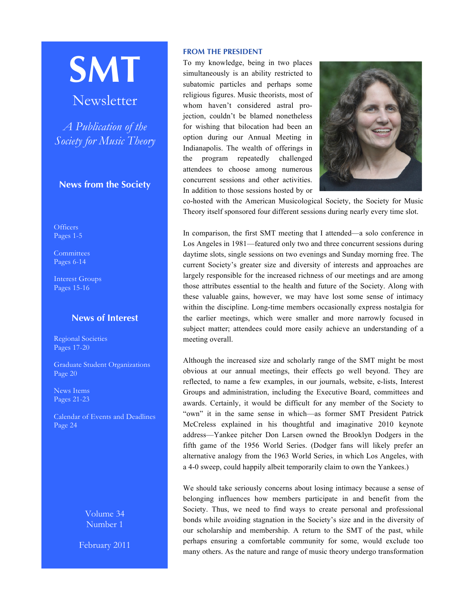# **SMT**

# Newsletter

*A Publication of the Society for Music Theory*

## **News from the Society**

**Officers** Pages 1-5

**[Committees](#page-5-0)** [Pages 6-14](#page-5-0)

[Interest Groups](#page-13-0) Pages 15-16

## **News of Interest**

[Regional Societies](#page-16-0) Pages 17-20

[Graduate Student Organizations](#page-19-0) Page 20

[News Items](#page-20-0) Pages 21-23

[Calendar of Events and Deadlines](#page-23-0) Page 24

> Volume 34 Number 1

February 2011

#### **FROM THE PRESIDENT**

To my knowledge, being in two places simultaneously is an ability restricted to subatomic particles and perhaps some religious figures. Music theorists, most of whom haven't considered astral projection, couldn't be blamed nonetheless for wishing that bilocation had been an option during our Annual Meeting in Indianapolis. The wealth of offerings in the program repeatedly challenged attendees to choose among numerous concurrent sessions and other activities. In addition to those sessions hosted by or



co-hosted with the American Musicological Society, the Society for Music Theory itself sponsored four different sessions during nearly every time slot.

In comparison, the first SMT meeting that I attended—a solo conference in Los Angeles in 1981—featured only two and three concurrent sessions during daytime slots, single sessions on two evenings and Sunday morning free. The current Society's greater size and diversity of interests and approaches are largely responsible for the increased richness of our meetings and are among those attributes essential to the health and future of the Society. Along with these valuable gains, however, we may have lost some sense of intimacy within the discipline. Long-time members occasionally express nostalgia for the earlier meetings, which were smaller and more narrowly focused in subject matter; attendees could more easily achieve an understanding of a meeting overall.

Although the increased size and scholarly range of the SMT might be most obvious at our annual meetings, their effects go well beyond. They are reflected, to name a few examples, in our journals, website, e-lists, Interest Groups and administration, including the Executive Board, committees and awards. Certainly, it would be difficult for any member of the Society to "own" it in the same sense in which—as former SMT President Patrick McCreless explained in his thoughtful and imaginative 2010 keynote address—Yankee pitcher Don Larsen owned the Brooklyn Dodgers in the fifth game of the 1956 World Series. (Dodger fans will likely prefer an alternative analogy from the 1963 World Series, in which Los Angeles, with a 4-0 sweep, could happily albeit temporarily claim to own the Yankees.)

We should take seriously concerns about losing intimacy because a sense of belonging influences how members participate in and benefit from the Society. Thus, we need to find ways to create personal and professional bonds while avoiding stagnation in the Society's size and in the diversity of our scholarship and membership. A return to the SMT of the past, while perhaps ensuring a comfortable community for some, would exclude too many others. As the nature and range of music theory undergo transformation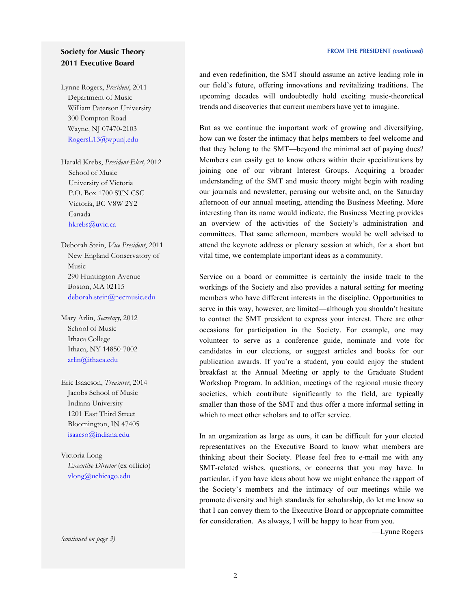## **Society for Music Theory 2011 Executive Board**

Lynne Rogers, *President*, 2011 Department of Music William Paterson University 300 Pompton Road Wayne, NJ 07470-2103 [RogersL13@wpunj.edu](mailto:RogersL13@wpunj.edu)

Harald Krebs, *President-Elect,* 2012 School of Music University of Victoria P.O. Box 1700 STN CSC Victoria, BC V8W 2Y2 Canada [hkrebs@uvic.ca](mailto:hkrebs@uvic.ca)

Deborah Stein, *Vice President*, 2011 New England Conservatory of Music 290 Huntington Avenue Boston, MA 02115 [deborah.stein@necmusic.edu](mailto:deborah.stein@necmusic.edu)

Mary Arlin, *Secretary,* 2012 School of Music Ithaca College Ithaca, NY 14850-7002 [arlin@ithaca.edu](mailto:arlin@ithaca.edu)

Eric Isaacson, *Treasurer*, 2014 Jacobs School of Music Indiana University 1201 East Third Street Bloomington, IN 47405 [isaacso@indiana.edu](mailto:isaacso@indiana.edu)

Victoria Long *Executive Director* (ex officio) [vlong@uchicago.edu](mailto:vlong@uchicago.edu)

*(continued on page 3)*

and even redefinition, the SMT should assume an active leading role in our field's future, offering innovations and revitalizing traditions. The upcoming decades will undoubtedly hold exciting music-theoretical trends and discoveries that current members have yet to imagine.

But as we continue the important work of growing and diversifying, how can we foster the intimacy that helps members to feel welcome and that they belong to the SMT—beyond the minimal act of paying dues? Members can easily get to know others within their specializations by joining one of our vibrant Interest Groups. Acquiring a broader understanding of the SMT and music theory might begin with reading our journals and newsletter, perusing our website and, on the Saturday afternoon of our annual meeting, attending the Business Meeting. More interesting than its name would indicate, the Business Meeting provides an overview of the activities of the Society's administration and committees. That same afternoon, members would be well advised to attend the keynote address or plenary session at which, for a short but vital time, we contemplate important ideas as a community.

Service on a board or committee is certainly the inside track to the workings of the Society and also provides a natural setting for meeting members who have different interests in the discipline. Opportunities to serve in this way, however, are limited—although you shouldn't hesitate to contact the SMT president to express your interest. There are other occasions for participation in the Society. For example, one may volunteer to serve as a conference guide, nominate and vote for candidates in our elections, or suggest articles and books for our publication awards. If you're a student, you could enjoy the student breakfast at the Annual Meeting or apply to the Graduate Student Workshop Program. In addition, meetings of the regional music theory societies, which contribute significantly to the field, are typically smaller than those of the SMT and thus offer a more informal setting in which to meet other scholars and to offer service.

In an organization as large as ours, it can be difficult for your elected representatives on the Executive Board to know what members are thinking about their Society. Please feel free to e-mail me with any SMT-related wishes, questions, or concerns that you may have. In particular, if you have ideas about how we might enhance the rapport of the Society's members and the intimacy of our meetings while we promote diversity and high standards for scholarship, do let me know so that I can convey them to the Executive Board or appropriate committee for consideration. As always, I will be happy to hear from you.

—Lynne Rogers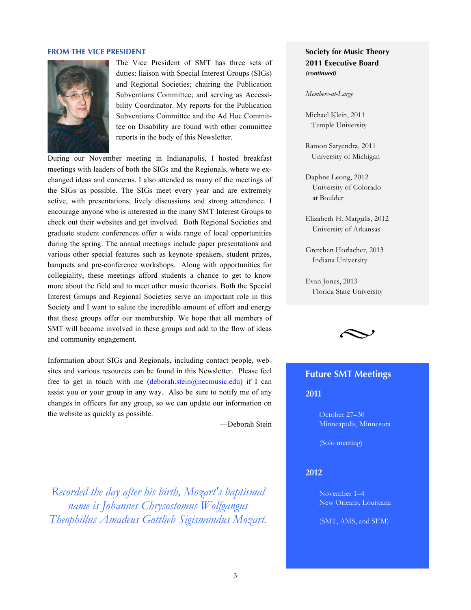#### **FROM THE VICE PRESIDENT**



The Vice President of SMT has three sets of duties: liaison with Special Interest Groups (SIGs) and Regional Societies; chairing the Publication Subventions Committee; and serving as Accessibility Coordinator. My reports for the Publication Subventions Committee and the Ad Hoc Committee on Disability are found with other committee reports in the body of this Newsletter.

During our November meeting in Indianapolis, I hosted breakfast meetings with leaders of both the SIGs and the Regionals, where we exchanged ideas and concerns. I also attended as many of the meetings of the SIGs as possible. The SIGs meet every year and are extremely active, with presentations, lively discussions and strong attendance. I encourage anyone who is interested in the many SMT Interest Groups to check out their websites and get involved. Both Regional Societies and graduate student conferences offer a wide range of local opportunities during the spring. The annual meetings include paper presentations and various other special features such as keynote speakers, student prizes, banquets and pre-conference workshops. Along with opportunities for collegiality, these meetings afford students a chance to get to know more about the field and to meet other music theorists. Both the Special Interest Groups and Regional Societies serve an important role in this Society and I want to salute the incredible amount of effort and energy that these groups offer our membership. We hope that all members of SMT will become involved in these groups and add to the flow of ideas and community engagement.

Information about SIGs and Regionals, including contact people, websites and various resources can be found in this Newsletter. Please feel free to get in touch with me  $(deborah.stein@n$ ecmusic.edu) if I can assist you or your group in any way. Also be sure to notify me of any changes in officers for any group, so we can update our information on the website as quickly as possible.

—Deborah Stein

*Recorded the day after his birth, Mozart's baptismal name is Johannes Chrysostomus Wolfgangus Theophillus Amadeus Gottlieb Sigismundus Mozart.*

## **Society for Music Theory 2011 Executive Board** *(continued)*

*Members-at-Large*

Michael Klein, 2011 Temple University

Ramon Satyendra, 2011 University of Michigan

Daphne Leong, 2012 University of Colorado at Boulder

Elizabeth H. Margulis, 2012 University of Arkansas

Gretchen Horlacher, 2013 Indiana University

Evan Jones, 2013 Florida State University



## **Future SMT Meetings**

**2011** 

October 27–30 Minneapolis, Minnesota

(Solo meeting)

#### **2012**

November 1–4 New Orleans, Louisiana

(SMT, AMS, and SEM)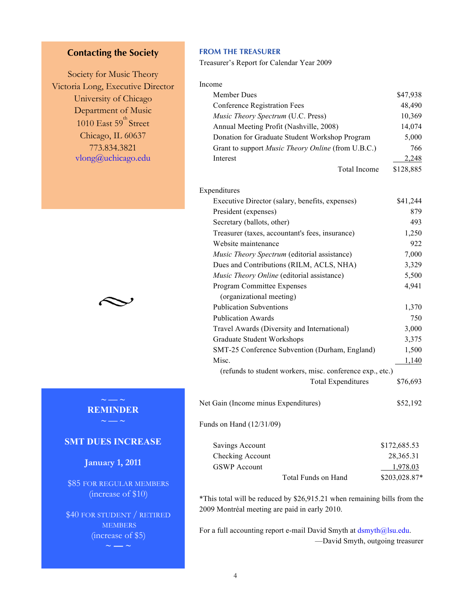# **Contacting the Society**

Society for Music Theory Victoria Long, Executive Director University of Chicago Department of Music 1010 East 59<sup>th</sup> Street Chicago, IL 60637 773.834.3821 [vlong@uchicago.edu](mailto:vlong@uchicago.edu?subject=SMT%20request)



# **REMINDER**

## **SMT DUES INCREASE**

**Janua**r**y 1, 2011**

\$85 FOR REGULAR MEMBERS (increase of \$10)

\$40 FOR STUDENT / RETIRED **MEMBERS** (increase of \$5)

**~ — ~**

## **FROM THE TREASURER**

Treasurer's Report for Calendar Year 2009

| Income                                                    |              |
|-----------------------------------------------------------|--------------|
| Member Dues                                               | \$47,938     |
| <b>Conference Registration Fees</b>                       | 48,490       |
| Music Theory Spectrum (U.C. Press)                        | 10,369       |
| Annual Meeting Profit (Nashville, 2008)                   | 14,074       |
| Donation for Graduate Student Workshop Program            | 5,000        |
| Grant to support Music Theory Online (from U.B.C.)        | 766          |
| Interest                                                  | 2,248        |
| <b>Total Income</b>                                       | \$128,885    |
| Expenditures                                              |              |
| Executive Director (salary, benefits, expenses)           | \$41,244     |
| President (expenses)                                      | 879          |
| Secretary (ballots, other)                                | 493          |
| Treasurer (taxes, accountant's fees, insurance)           | 1,250        |
| Website maintenance                                       | 922          |
| Music Theory Spectrum (editorial assistance)              | 7,000        |
| Dues and Contributions (RILM, ACLS, NHA)                  | 3,329        |
| Music Theory Online (editorial assistance)                | 5,500        |
| Program Committee Expenses                                | 4,941        |
| (organizational meeting)                                  |              |
| <b>Publication Subventions</b>                            | 1,370        |
| <b>Publication Awards</b>                                 | 750          |
| Travel Awards (Diversity and International)               | 3,000        |
| <b>Graduate Student Workshops</b>                         | 3,375        |
| SMT-25 Conference Subvention (Durham, England)            | 1,500        |
| Misc.                                                     | 1,140        |
| (refunds to student workers, misc. conference exp., etc.) |              |
| <b>Total Expenditures</b>                                 | \$76,693     |
| Net Gain (Income minus Expenditures)                      | \$52,192     |
| Funds on Hand (12/31/09)                                  |              |
| <b>Savings Account</b>                                    | \$172,685.53 |
| Checking Account                                          | 28,365.31    |
| <b>GSWP</b> Account                                       | 1,978.03     |

\*This total will be reduced by \$26,915.21 when remaining bills from the 2009 Montréal meeting are paid in early 2010.

Total Funds on Hand \$203,028.87\*

For a full accounting report e-mail David Smyth at [dsmyth@lsu.edu](mailto:dsmyth@lsu.edu?subject=SMT). —David Smyth, outgoing treasurer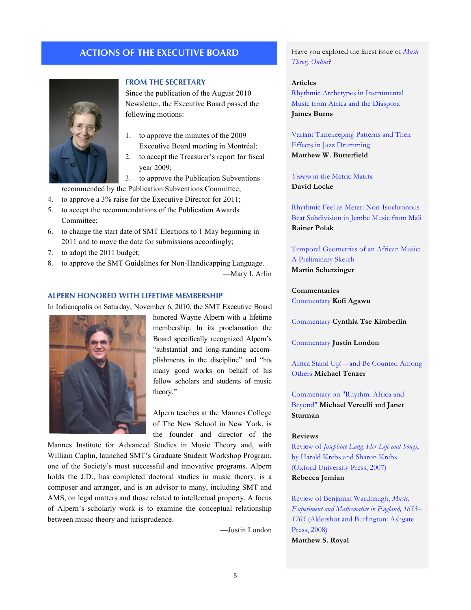## **ACTIONS OF THE EXECUTIVE BOARD**



#### **FROM THE SECRETARY**

Since the publication of the August 2010 Newsletter, the Executive Board passed the following motions:

- 1. to approve the minutes of the 2009 Executive Board meeting in Montréal;
- 2. to accept the Treasurer's report for fiscal year 2009;

3. to approve the Publication Subventions

- recommended by the Publication Subventions Committee;
- 4. to approve a 3% raise for the Executive Director for 2011;
- 5. to accept the recommendations of the Publication Awards Committee;
- 6. to change the start date of SMT Elections to 1 May beginning in 2011 and to move the date for submissions accordingly;
- 7. to adopt the 2011 budget;
- 8. to approve the SMT Guidelines for Non-Handicapping Language.

—Mary I. Arlin

#### **ALPERN HONORED WITH LIFETIME MEMBERSHIP**

In Indianapolis on Saturday, November 6, 2010, the SMT Executive Board



honored Wayne Alpern with a lifetime membership. In its proclamation the Board specifically recognized Alpern's "substantial and long-standing accomplishments in the discipline" and "his many good works on behalf of his fellow scholars and students of music theory."

Alpern teaches at the Mannes College of The New School in New York, is the founder and director of the

Mannes Institute for Advanced Studies in Music Theory and, with William Caplin, launched SMT's Graduate Student Workshop Program, one of the Society's most successful and innovative programs. Alpern holds the J.D., has completed doctoral studies in music theory, is a composer and arranger, and is an advisor to many, including SMT and AMS, on legal matters and those related to intellectual property. A focus of Alpern's scholarly work is to examine the conceptual relationship between music theory and jurisprudence.

—Justin London

Have you explored the latest issue of *[Music](http://mto.societymusictheory.org/issues/mto.10.16.4/toc.16.4.html)  [Theory Online](http://mto.societymusictheory.org/issues/mto.10.16.4/toc.16.4.html)*?

#### **Articles**

[Rhythmic Archetypes in Instrumental](http://mto.societymusictheory.org/issues/mto.10.16.4/mto.10.16.4.burns.html)  Music from Africa and the Diaspora **James Burns**

[Variant Timekeeping Patterns and Their](http://mto.societymusictheory.org/issues/mto.10.16.4/mto.10.16.4.butterfield.html) Effects in Jazz Drumming **Matthew W. Butterfield**

*Yewevu* [in the Metric Matrix](http://mto.societymusictheory.org/issues/mto.10.16.4/mto.10.16.4.locke.html) **David Locke**

[Rhythmic Feel as Meter: Non-Isochronous](http://mto.societymusictheory.org/issues/mto.10.16.4/mto.10.16.4.polak.html)  Beat Subdivision in Jembe Music from Mali **Rainer Polak**

[Temporal Geometries of an African Music:](http://mto.societymusictheory.org/issues/mto.10.16.4/mto.10.16.4.scherzinger.html)  A Preliminary Sketch **Martin Scherzinger**

**Commentaries** [Commentary](http://mto.societymusictheory.org/issues/mto.10.16.4/mto.10.16.4.agawu.html) **Kofi Agawu**

[Commentary](http://mto.societymusictheory.org/issues/mto.10.16.4/mto.10.16.4.kimberlin.html) **Cynthia Tse Kimberlin**

[Commentary](http://mto.societymusictheory.org/issues/mto.10.16.4/mto.10.16.4.london.html) **Justin London**

[Africa Stand Up!—and Be Counted Among](http://mto.societymusictheory.org/issues/mto.10.16.4/mto.10.16.4.tenzer.html)  [Others](http://mto.societymusictheory.org/issues/mto.10.16.4/mto.10.16.4.tenzer.html) **Michael Tenzer**

[Commentary on "Rhythm: Africa and](http://mto.societymusictheory.org/issues/mto.10.16.4/mto.10.16.4.sturman_vercelli.html) [Beyond"](http://mto.societymusictheory.org/issues/mto.10.16.4/mto.10.16.4.sturman_vercelli.html) **Michael Vercelli** and **Janet Sturman**

#### **Reviews**

Review of *Josephine Lang: Her Life and Songs*, [by Harald Krebs and Sharon Krebs](http://mto.societymusictheory.org/issues/mto.10.16.4/mto.10.16.4.jemian.html)  (Oxford University Press, 2007) **Rebecca Jemian**

Review of Benjamin Wardhaugh, *Music, [Experiment and Mathematics in England, 1653–](http://mto.societymusictheory.org/issues/mto.10.16.4/mto.10.16.4.royal.html) 1705* (Aldershot and Burlington: Ashgate Press, 2008) **Matthew S. Royal**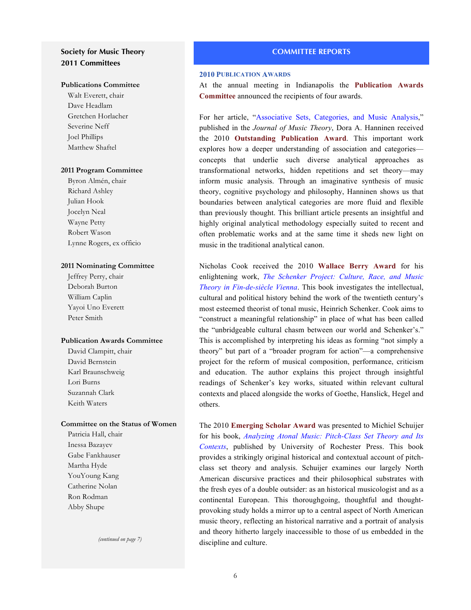## <span id="page-5-0"></span>**Society for Music Theory 2011 Committees**

#### **[Publications Committee](#page-10-0)**

Walt Everett, chair Dave Headlam Gretchen Horlacher Severine Neff Joel Phillips Matthew Shaftel

#### **[2011 Program Committee](#page-8-0)**

Byron Almén, chair Richard Ashley Julian Hook Jocelyn Neal Wayne Petty Robert Wason Lynne Rogers, ex officio

#### **[2011 Nominating Committee](#page-12-0)**

Jeffrey Perry, chair Deborah Burton William Caplin Yayoi Uno Everett Peter Smith

#### **Publication Awards Committee**

David Clampitt, chair David Bernstein Karl Braunschweig Lori Burns Suzannah Clark Keith Waters

## **[Committee on the Status of Women](#page-13-0)**

Patricia Hall, chair Inessa Bazayev Gabe Fankhauser Martha Hyde YouYoung Kang Catherine Nolan Ron Rodman Abby Shupe

*(continued on page 7)*

#### **COMMITTEE REPORTS**

#### **2010 PUBLICATION AWARDS**

At the annual meeting in Indianapolis the **Publication Awards Committee** announced the recipients of four awards.

For her article, "[Associative Sets, Categories, and Music Analysis,](http://jmt.dukejournals.org/cgi/search?sortspec=relevance&author1=hanninen&fulltext=&pubdate_year=&volume=&firstpage=)" published in the *Journal of Music Theory*, Dora A. Hanninen received the 2010 **Outstanding Publication Award**. This important work explores how a deeper understanding of association and categories concepts that underlie such diverse analytical approaches as transformational networks, hidden repetitions and set theory—may inform music analysis. Through an imaginative synthesis of music theory, cognitive psychology and philosophy, Hanninen shows us that boundaries between analytical categories are more fluid and flexible than previously thought. This brilliant article presents an insightful and highly original analytical methodology especially suited to recent and often problematic works and at the same time it sheds new light on music in the traditional analytical canon.

Nicholas Cook received the 2010 **Wallace Berry Award** for his enlightening work, *[The Schenker Project: Culture, Race, and Music](http://www.oup.com/us/catalog/general/subject/Music/MusicTheoryAnalysisComposition/?view=usa&ci=9780195170566)  [Theory in Fin-de-siècle Vienna](http://www.oup.com/us/catalog/general/subject/Music/MusicTheoryAnalysisComposition/?view=usa&ci=9780195170566)*. This book investigates the intellectual, cultural and political history behind the work of the twentieth century's most esteemed theorist of tonal music, Heinrich Schenker. Cook aims to "construct a meaningful relationship" in place of what has been called the "unbridgeable cultural chasm between our world and Schenker's." This is accomplished by interpreting his ideas as forming "not simply a theory" but part of a "broader program for action"—a comprehensive project for the reform of musical composition, performance, criticism and education. The author explains this project through insightful readings of Schenker's key works, situated within relevant cultural contexts and placed alongside the works of Goethe, Hanslick, Hegel and others.

The 2010 **Emerging Scholar Award** was presented to Michiel Schuijer for his book, *[Analyzing Atonal Music: Pitch-Class Set Theory and Its](http://www.urpress.com/store/viewItem.asp?idProduct=6768)  [Contexts](http://www.urpress.com/store/viewItem.asp?idProduct=6768)*, published by University of Rochester Press. This book provides a strikingly original historical and contextual account of pitchclass set theory and analysis. Schuijer examines our largely North American discursive practices and their philosophical substrates with the fresh eyes of a double outsider: as an historical musicologist and as a continental European. This thoroughgoing, thoughtful and thoughtprovoking study holds a mirror up to a central aspect of North American music theory, reflecting an historical narrative and a portrait of analysis and theory hitherto largely inaccessible to those of us embedded in the discipline and culture.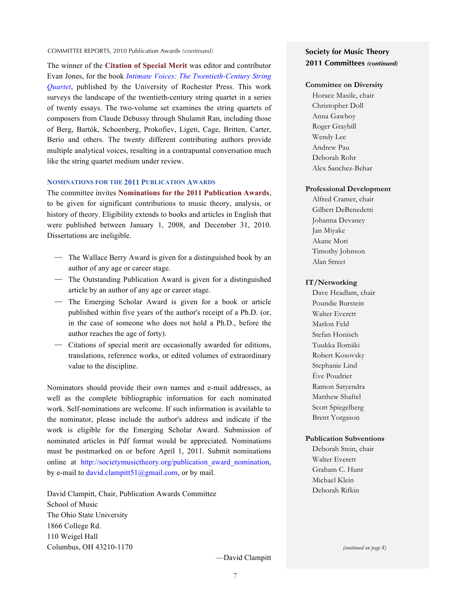#### COMMITTEE REPORTS, 2010 Publication Awards *(continued)*

The winner of the **Citation of Special Merit** was editor and contributor Evan Jones, for the book *[Intimate Voices: The Twentieth-Century String](http://www.urpress.com/store/viewItem.asp?idProduct=9492)  [Quartet](http://www.urpress.com/store/viewItem.asp?idProduct=9492)*, published by the University of Rochester Press. This work surveys the landscape of the twentieth-century string quartet in a series of twenty essays. The two-volume set examines the string quartets of composers from Claude Debussy through Shulamit Ran, including those of Berg, Bartók, Schoenberg, Prokofiev, Ligeti, Cage, Britten, Carter, Berio and others. The twenty different contributing authors provide multiple analytical voices, resulting in a contrapuntal conversation much like the string quartet medium under review.

#### **NOMINATIONS FOR THE 2011 PUBLICATION AWARDS**

The committee invites **Nominations for the 2011 Publication Awards**, to be given for significant contributions to music theory, analysis, or history of theory. Eligibility extends to books and articles in English that were published between January 1, 2008, and December 31, 2010. Dissertations are ineligible.

- The Wallace Berry Award is given for a distinguished book by an author of any age or career stage.
- The Outstanding Publication Award is given for a distinguished article by an author of any age or career stage.
- The Emerging Scholar Award is given for a book or article published within five years of the author's receipt of a Ph.D. (or, in the case of someone who does not hold a Ph.D., before the author reaches the age of forty).
- Citations of special merit are occasionally awarded for editions, translations, reference works, or edited volumes of extraordinary value to the discipline.

Nominators should provide their own names and e-mail addresses, as well as the complete bibliographic information for each nominated work. Self-nominations are welcome. If such information is available to the nominator, please include the author's address and indicate if the work is eligible for the Emerging Scholar Award. Submission of nominated articles in Pdf format would be appreciated. Nominations must be postmarked on or before April 1, 2011. Submit nominations online at http://societymusictheory.org/publication award nomination, by e-mail to [david.clampitt51@gmail.com](mailto:david.clampitt51@gmail.com?subject=SMT), or by mail.

David Clampitt, Chair, Publication Awards Committee School of Music The Ohio State University 1866 College Rd. 110 Weigel Hall Columbus, OH 43210-1170

## **Society for Music Theory 2011 Committees** *(continued)*

#### **[Committee on Diversity](#page-9-0)**

Horace Maxile, chair Christopher Doll Anna Gawboy Roger Graybill Wendy Lee Andrew Pau Deborah Rohr Alex Sanchez-Behar

#### **[Professional Development](#page-11-0)**

Alfred Cramer, chair Gilbert DeBenedetti Johanna Devaney Jan Miyake Akane Mori Timothy Johnson Alan Street

#### **[IT/Networking](#page-13-0)**

Dave Headlam, chair Poundie Burstein Walter Everett Marlon Feld Stefan Honisch Tuukka Ilomäki Robert Kosovsky Stephanie Lind Ève Poudrier Ramon Satyendra Matthew Shaftel Scott Spiegelberg Brent Yorgason

#### **[Publication Subventions](#page-7-0)**

Deborah Stein, chair Walter Everett Graham C. Hunt Michael Klein Deborah Rifkin

*(continued on page 8)*

—David Clampitt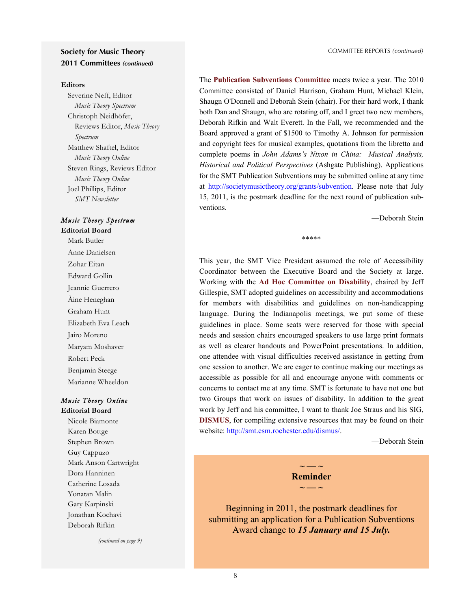## <span id="page-7-0"></span>**Society for Music Theory 2011 Committees** *(continued)*

#### **Editors**

Severine Neff, Editor *Music Theory Spectrum* Christoph Neidhöfer, Reviews Editor, *Music Theory Spectrum* Matthew Shaftel, Editor *Music Theory Online* Steven Rings, Reviews Editor *Music Theory Online* Joel Phillips, Editor *SMT Newsletter*

#### *Music Theory Spectrum* **Editorial Board**

Mark Butler Anne Danielsen Zohar Eitan Edward Gollin Jeannie Guerrero Àine Heneghan Graham Hunt Elizabeth Eva Leach Jairo Moreno Maryam Moshaver Robert Peck Benjamin Steege Marianne Wheeldon

## *Music Theory Online*

**Editorial Board** Nicole Biamonte Karen Bottge Stephen Brown Guy Cappuzo Mark Anson Cartwright Dora Hanninen Catherine Losada Yonatan Malin Gary Karpinski Jonathan Kochavi Deborah Rifkin

*(continued on page 9)*

The **Publication Subventions Committee** meets twice a year. The 2010 Committee consisted of Daniel Harrison, Graham Hunt, Michael Klein, Shaugn O'Donnell and Deborah Stein (chair). For their hard work, I thank both Dan and Shaugn, who are rotating off, and I greet two new members, Deborah Rifkin and Walt Everett. In the Fall, we recommended and the Board approved a grant of \$1500 to Timothy A. Johnson for permission and copyright fees for musical examples, quotations from the libretto and complete poems in *John Adams's Nixon in China: Musical Analysis, Historical and Political Perspectives* (Ashgate Publishing). Applications for the SMT Publication Subventions may be submitted online at any time at <http://societymusictheory.org/grants/subvention>. Please note that July 15, 2011, is the postmark deadline for the next round of publication subventions.

\*\*\*\*\*

—Deborah Stein

This year, the SMT Vice President assumed the role of Accessibility Coordinator between the Executive Board and the Society at large. Working with the **Ad Hoc Committee on Disability**, chaired by Jeff Gillespie, SMT adopted guidelines on accessibility and accommodations for members with disabilities and guidelines on non-handicapping language. During the Indianapolis meetings, we put some of these guidelines in place. Some seats were reserved for those with special needs and session chairs encouraged speakers to use large print formats as well as clearer handouts and PowerPoint presentations. In addition, one attendee with visual difficulties received assistance in getting from one session to another. We are eager to continue making our meetings as accessible as possible for all and encourage anyone with comments or concerns to contact me at any time. SMT is fortunate to have not one but two Groups that work on issues of disability. In addition to the great work by Jeff and his committee, I want to thank Joe Straus and his SIG, **DISMUS**, for compiling extensive resources that may be found on their website: [http://smt.esm.rochester.edu/dismus/.](http://smt.esm.rochester.edu/dismus/)

—Deborah Stein

 $\sim$   $\sim$ **Reminder ~ — ~**

Beginning in 2011, the postmark deadlines for submitting an application for a Publication Subventions Award change to *15 January and 15 July.*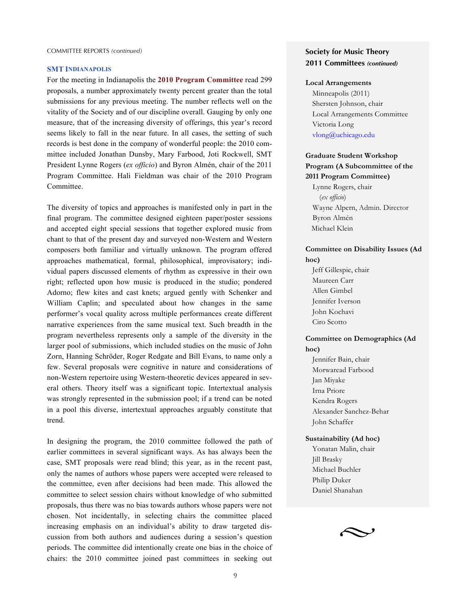#### <span id="page-8-0"></span>**SMT INDIANAPOLIS**

For the meeting in Indianapolis the **2010 Program Committee** read 299 proposals, a number approximately twenty percent greater than the total submissions for any previous meeting. The number reflects well on the vitality of the Society and of our discipline overall. Gauging by only one measure, that of the increasing diversity of offerings, this year's record seems likely to fall in the near future. In all cases, the setting of such records is best done in the company of wonderful people: the 2010 committee included Jonathan Dunsby, Mary Farbood, Joti Rockwell, SMT President Lynne Rogers (*ex officio*) and Byron Almén, chair of the 2011 Program Committee. Hali Fieldman was chair of the 2010 Program Committee.

The diversity of topics and approaches is manifested only in part in the final program. The committee designed eighteen paper/poster sessions and accepted eight special sessions that together explored music from chant to that of the present day and surveyed non-Western and Western composers both familiar and virtually unknown. The program offered approaches mathematical, formal, philosophical, improvisatory; individual papers discussed elements of rhythm as expressive in their own right; reflected upon how music is produced in the studio; pondered Adorno; flew kites and cast knets; argued gently with Schenker and William Caplin; and speculated about how changes in the same performer's vocal quality across multiple performances create different narrative experiences from the same musical text. Such breadth in the program nevertheless represents only a sample of the diversity in the larger pool of submissions, which included studies on the music of John Zorn, Hanning Schröder, Roger Redgate and Bill Evans, to name only a few. Several proposals were cognitive in nature and considerations of non-Western repertoire using Western-theoretic devices appeared in several others. Theory itself was a significant topic. Intertextual analysis was strongly represented in the submission pool; if a trend can be noted in a pool this diverse, intertextual approaches arguably constitute that trend.

In designing the program, the 2010 committee followed the path of earlier committees in several significant ways. As has always been the case, SMT proposals were read blind; this year, as in the recent past, only the names of authors whose papers were accepted were released to the committee, even after decisions had been made. This allowed the committee to select session chairs without knowledge of who submitted proposals, thus there was no bias towards authors whose papers were not chosen. Not incidentally, in selecting chairs the committee placed increasing emphasis on an individual's ability to draw targeted discussion from both authors and audiences during a session's question periods. The committee did intentionally create one bias in the choice of chairs: the 2010 committee joined past committees in seeking out

## **Society for Music Theory 2011 Committees** *(continued)*

#### **Local Arrangements**

Minneapolis (2011) Shersten Johnson, chair Local Arrangements Committee Victoria Long [vlong@uchicago.edu](mailto:vlong@uchicago.edu)

## **Graduate Student Workshop [Program \(A Subcommittee of the](#page-12-0) 2011 Program Committee)**

Lynne Rogers, chair (*ex officio*) Wayne Alpern, Admin. Director Byron Almén Michael Klein

## **[Committee on Disability Issues \(Ad](#page-7-0)  hoc)**

Jeff Gillespie, chair Maureen Carr Allen Gimbel Jennifer Iverson John Kochavi Ciro Scotto

## **Committee on Demographics (Ad hoc)**

Jennifer Bain, chair Morwaread Farbood Jan Miyake Irna Priore Kendra Rogers Alexander Sanchez-Behar John Schaffer

#### **Sustainability (Ad hoc)**

Yonatan Malin, chair Jill Brasky Michael Buchler Philip Duker Daniel Shanahan

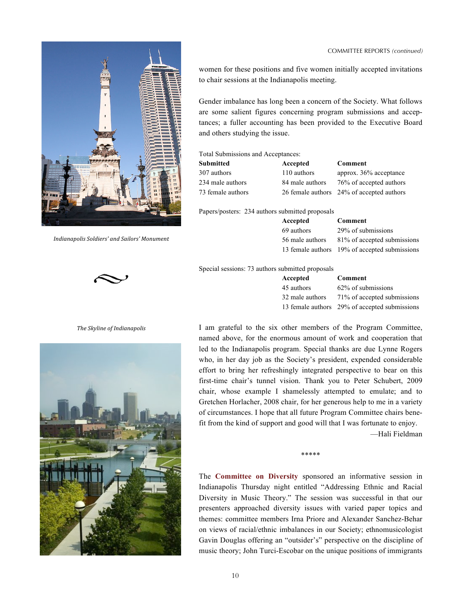#### COMMITTEE REPORTS *(continued)*

<span id="page-9-0"></span>

*Indianapolis-Soldiers'-and-Sailors'-Monument*



*The-Skyline-of-Indianapolis*



women for these positions and five women initially accepted invitations to chair sessions at the Indianapolis meeting.

Gender imbalance has long been a concern of the Society. What follows are some salient figures concerning program submissions and acceptances; a fuller accounting has been provided to the Executive Board and others studying the issue.

Total Submissions and Acceptances:

| Submitted         | Accepted        | Comment                                   |
|-------------------|-----------------|-------------------------------------------|
| 307 authors       | 110 authors     | approx. 36% acceptance                    |
| 234 male authors  | 84 male authors | 76% of accepted authors                   |
| 73 female authors |                 | 26 female authors 24% of accepted authors |

Papers/posters: 234 authors submitted proposals

| Accepted        | Comment                                       |
|-----------------|-----------------------------------------------|
| 69 authors      | 29% of submissions                            |
| 56 male authors | 81% of accepted submissions                   |
|                 | 13 female authors 19% of accepted submissions |

Special sessions: 73 authors submitted proposals

| Accepted        | Comment                                       |
|-----------------|-----------------------------------------------|
| 45 authors      | 62% of submissions                            |
| 32 male authors | 71% of accepted submissions                   |
|                 | 13 female authors 29% of accepted submissions |

I am grateful to the six other members of the Program Committee, named above, for the enormous amount of work and cooperation that led to the Indianapolis program. Special thanks are due Lynne Rogers who, in her day job as the Society's president, expended considerable effort to bring her refreshingly integrated perspective to bear on this first-time chair's tunnel vision. Thank you to Peter Schubert, 2009 chair, whose example I shamelessly attempted to emulate; and to Gretchen Horlacher, 2008 chair, for her generous help to me in a variety of circumstances. I hope that all future Program Committee chairs benefit from the kind of support and good will that I was fortunate to enjoy.

—Hali Fieldman

The **Committee on Diversity** sponsored an informative session in Indianapolis Thursday night entitled "Addressing Ethnic and Racial Diversity in Music Theory." The session was successful in that our presenters approached diversity issues with varied paper topics and themes: committee members Irna Priore and Alexander Sanchez-Behar on views of racial/ethnic imbalances in our Society; ethnomusicologist Gavin Douglas offering an "outsider's" perspective on the discipline of music theory; John Turci-Escobar on the unique positions of immigrants

\*\*\*\*\*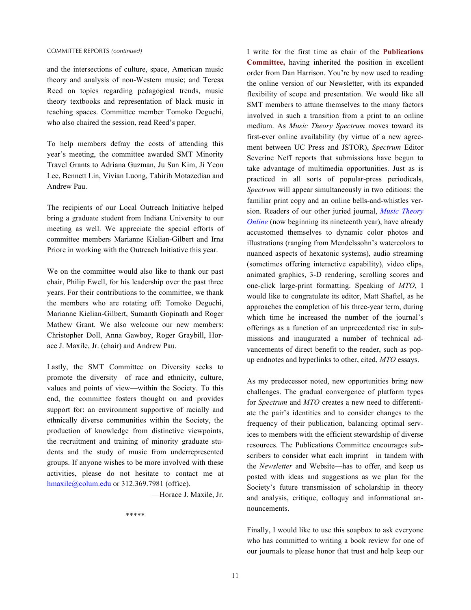<span id="page-10-0"></span>and the intersections of culture, space, American music theory and analysis of non-Western music; and Teresa Reed on topics regarding pedagogical trends, music theory textbooks and representation of black music in teaching spaces. Committee member Tomoko Deguchi, who also chaired the session, read Reed's paper.

To help members defray the costs of attending this year's meeting, the committee awarded SMT Minority Travel Grants to Adriana Guzman, Ju Sun Kim, Ji Yeon Lee, Bennett Lin, Vivian Luong, Tahirih Motazedian and Andrew Pau.

The recipients of our Local Outreach Initiative helped bring a graduate student from Indiana University to our meeting as well. We appreciate the special efforts of committee members Marianne Kielian-Gilbert and Irna Priore in working with the Outreach Initiative this year.

We on the committee would also like to thank our past chair, Philip Ewell, for his leadership over the past three years. For their contributions to the committee, we thank the members who are rotating off: Tomoko Deguchi, Marianne Kielian-Gilbert, Sumanth Gopinath and Roger Mathew Grant. We also welcome our new members: Christopher Doll, Anna Gawboy, Roger Graybill, Horace J. Maxile, Jr. (chair) and Andrew Pau.

Lastly, the SMT Committee on Diversity seeks to promote the diversity—of race and ethnicity, culture, values and points of view—within the Society. To this end, the committee fosters thought on and provides support for: an environment supportive of racially and ethnically diverse communities within the Society, the production of knowledge from distinctive viewpoints, the recruitment and training of minority graduate students and the study of music from underrepresented groups. If anyone wishes to be more involved with these activities, please do not hesitate to contact me at [hmaxile@colum.edu](mailto:hmaxile@colum.edu?subject=SMT%20Diversity) or 312.369.7981 (office).

—Horace J. Maxile, Jr.

\*\*\*\*\*

I write for the first time as chair of the **Publications Committee,** having inherited the position in excellent order from Dan Harrison. You're by now used to reading the online version of our Newsletter, with its expanded flexibility of scope and presentation. We would like all SMT members to attune themselves to the many factors involved in such a transition from a print to an online medium. As *Music Theory Spectrum* moves toward its first-ever online availability (by virtue of a new agreement between UC Press and JSTOR), *Spectrum* Editor Severine Neff reports that submissions have begun to take advantage of multimedia opportunities. Just as is practiced in all sorts of popular-press periodicals, *Spectrum* will appear simultaneously in two editions: the familiar print copy and an online bells-and-whistles version. Readers of our other juried journal, *[Music Theory](http://mto.societymusictheory.org/)  [Online](http://mto.societymusictheory.org/)* (now beginning its nineteenth year), have already accustomed themselves to dynamic color photos and illustrations (ranging from Mendelssohn's watercolors to nuanced aspects of hexatonic systems), audio streaming (sometimes offering interactive capability), video clips, animated graphics, 3-D rendering, scrolling scores and one-click large-print formatting. Speaking of *MTO*, I would like to congratulate its editor, Matt Shaftel, as he approaches the completion of his three-year term, during which time he increased the number of the journal's offerings as a function of an unprecedented rise in submissions and inaugurated a number of technical advancements of direct benefit to the reader, such as popup endnotes and hyperlinks to other, cited, *MTO* essays.

As my predecessor noted, new opportunities bring new challenges. The gradual convergence of platform types for *Spectrum* and *MTO* creates a new need to differentiate the pair's identities and to consider changes to the frequency of their publication, balancing optimal services to members with the efficient stewardship of diverse resources. The Publications Committee encourages subscribers to consider what each imprint—in tandem with the *Newsletter* and Website—has to offer, and keep us posted with ideas and suggestions as we plan for the Society's future transmission of scholarship in theory and analysis, critique, colloquy and informational announcements.

Finally, I would like to use this soapbox to ask everyone who has committed to writing a book review for one of our journals to please honor that trust and help keep our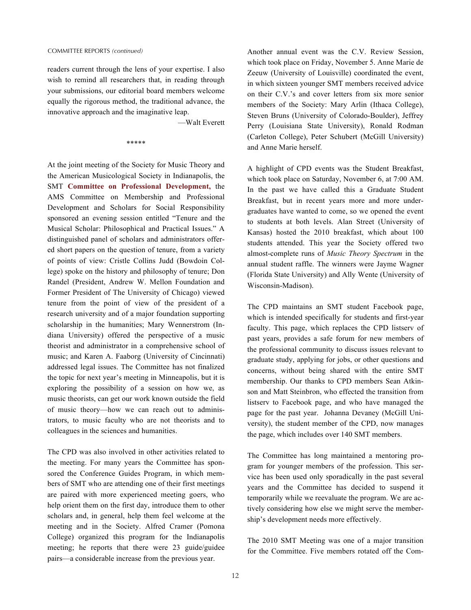<span id="page-11-0"></span>readers current through the lens of your expertise. I also wish to remind all researchers that, in reading through your submissions, our editorial board members welcome equally the rigorous method, the traditional advance, the innovative approach and the imaginative leap.

—Walt Everett

\*\*\*\*\*

At the joint meeting of the Society for Music Theory and the American Musicological Society in Indianapolis, the SMT **Committee on Professional Development,** the AMS Committee on Membership and Professional Development and Scholars for Social Responsibility sponsored an evening session entitled "Tenure and the Musical Scholar: Philosophical and Practical Issues." A distinguished panel of scholars and administrators offered short papers on the question of tenure, from a variety of points of view: Cristle Collins Judd (Bowdoin College) spoke on the history and philosophy of tenure; Don Randel (President, Andrew W. Mellon Foundation and Former President of The University of Chicago) viewed tenure from the point of view of the president of a research university and of a major foundation supporting scholarship in the humanities; Mary Wennerstrom (Indiana University) offered the perspective of a music theorist and administrator in a comprehensive school of music; and Karen A. Faaborg (University of Cincinnati) addressed legal issues. The Committee has not finalized the topic for next year's meeting in Minneapolis, but it is exploring the possibility of a session on how we, as music theorists, can get our work known outside the field of music theory—how we can reach out to administrators, to music faculty who are not theorists and to colleagues in the sciences and humanities.

The CPD was also involved in other activities related to the meeting. For many years the Committee has sponsored the Conference Guides Program, in which members of SMT who are attending one of their first meetings are paired with more experienced meeting goers, who help orient them on the first day, introduce them to other scholars and, in general, help them feel welcome at the meeting and in the Society. Alfred Cramer (Pomona College) organized this program for the Indianapolis meeting; he reports that there were 23 guide/guidee pairs—a considerable increase from the previous year.

Another annual event was the C.V. Review Session, which took place on Friday, November 5. Anne Marie de Zeeuw (University of Louisville) coordinated the event, in which sixteen younger SMT members received advice on their C.V.'s and cover letters from six more senior members of the Society: Mary Arlin (Ithaca College), Steven Bruns (University of Colorado-Boulder), Jeffrey Perry (Louisiana State University), Ronald Rodman (Carleton College), Peter Schubert (McGill University) and Anne Marie herself.

A highlight of CPD events was the Student Breakfast, which took place on Saturday, November 6, at 7:00 AM. In the past we have called this a Graduate Student Breakfast, but in recent years more and more undergraduates have wanted to come, so we opened the event to students at both levels. Alan Street (University of Kansas) hosted the 2010 breakfast, which about 100 students attended. This year the Society offered two almost-complete runs of *Music Theory Spectrum* in the annual student raffle. The winners were Jayme Wagner (Florida State University) and Ally Wente (University of Wisconsin-Madison).

The CPD maintains an SMT student Facebook page, which is intended specifically for students and first-year faculty. This page, which replaces the CPD listserv of past years, provides a safe forum for new members of the professional community to discuss issues relevant to graduate study, applying for jobs, or other questions and concerns, without being shared with the entire SMT membership. Our thanks to CPD members Sean Atkinson and Matt Steinbron, who effected the transition from listserv to Facebook page, and who have managed the page for the past year. Johanna Devaney (McGill University), the student member of the CPD, now manages the page, which includes over 140 SMT members.

The Committee has long maintained a mentoring program for younger members of the profession. This service has been used only sporadically in the past several years and the Committee has decided to suspend it temporarily while we reevaluate the program. We are actively considering how else we might serve the membership's development needs more effectively.

The 2010 SMT Meeting was one of a major transition for the Committee. Five members rotated off the Com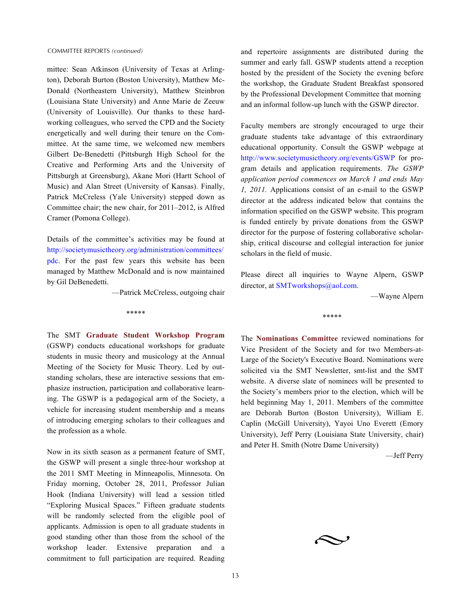<span id="page-12-0"></span>mittee: Sean Atkinson (University of Texas at Arlington), Deborah Burton (Boston University), Matthew Mc-Donald (Northeastern University), Matthew Steinbron (Louisiana State University) and Anne Marie de Zeeuw (University of Louisville). Our thanks to these hardworking colleagues, who served the CPD and the Society energetically and well during their tenure on the Committee. At the same time, we welcomed new members Gilbert De-Benedetti (Pittsburgh High School for the Creative and Performing Arts and the University of Pittsburgh at Greensburg), Akane Mori (Hartt School of Music) and Alan Street (University of Kansas). Finally, Patrick McCreless (Yale University) stepped down as Committee chair; the new chair, for 2011–2012, is Alfred Cramer (Pomona College).

Details of the committee's activities may be found at [http://societymusictheory.org/administration/committees/](http://societymusictheory.org/administration/committees/pdc) [pdc.](http://societymusictheory.org/administration/committees/pdc) For the past few years this website has been managed by Matthew McDonald and is now maintained by Gil DeBenedetti.

\*\*\*\*\*

—Patrick McCreless, outgoing chair

The SMT **Graduate Student Workshop Program**  (GSWP) conducts educational workshops for graduate students in music theory and musicology at the Annual Meeting of the Society for Music Theory. Led by outstanding scholars, these are interactive sessions that emphasize instruction, participation and collaborative learning. The GSWP is a pedagogical arm of the Society, a vehicle for increasing student membership and a means of introducing emerging scholars to their colleagues and the profession as a whole.

Now in its sixth season as a permanent feature of SMT, the GSWP will present a single three-hour workshop at the 2011 SMT Meeting in Minneapolis, Minnesota. On Friday morning, October 28, 2011, Professor Julian Hook (Indiana University) will lead a session titled "Exploring Musical Spaces." Fifteen graduate students will be randomly selected from the eligible pool of applicants. Admission is open to all graduate students in good standing other than those from the school of the workshop leader. Extensive preparation and a commitment to full participation are required. Reading

and repertoire assignments are distributed during the summer and early fall. GSWP students attend a reception hosted by the president of the Society the evening before the workshop, the Graduate Student Breakfast sponsored by the Professional Development Committee that morning and an informal follow-up lunch with the GSWP director.

Faculty members are strongly encouraged to urge their graduate students take advantage of this extraordinary educational opportunity. Consult the GSWP webpage at <http://www.societymusictheory.org/events/GSWP>for program details and application requirements. *The GSWP application period commences on March 1 and ends May 1, 2011.* Applications consist of an e-mail to the GSWP director at the address indicated below that contains the information specified on the GSWP website. This program is funded entirely by private donations from the GSWP director for the purpose of fostering collaborative scholarship, critical discourse and collegial interaction for junior scholars in the field of music.

Please direct all inquiries to Wayne Alpern, GSWP director, at [SMTworkshops@aol.com](mailto:SMTworkshops@aol.com).

—Wayne Alpern

\*\*\*\*\*

The **Nominations Committee** reviewed nominations for Vice President of the Society and for two Members-at-Large of the Society's Executive Board. Nominations were solicited via the SMT Newsletter, smt-list and the SMT website. A diverse slate of nominees will be presented to the Society's members prior to the election, which will be held beginning May 1, 2011. Members of the committee are Deborah Burton (Boston University), William E. Caplin (McGill University), Yayoi Uno Everett (Emory University), Jeff Perry (Louisiana State University, chair) and Peter H. Smith (Notre Dame University)

—Jeff Perry

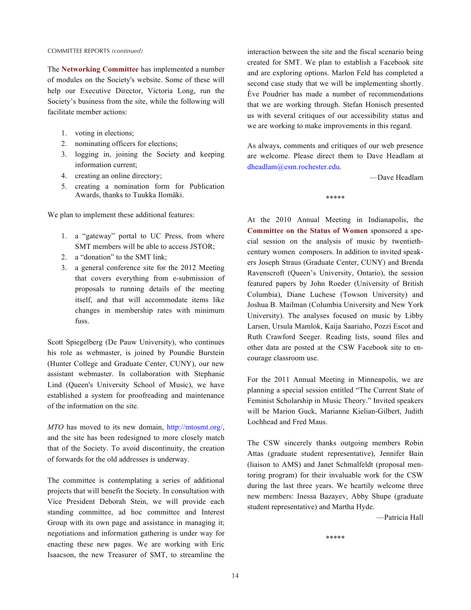#### <span id="page-13-0"></span>COMMITTEE REPORTS *(continued)*

The **Networking Committee** has implemented a number of modules on the Society's website. Some of these will help our Executive Director, Victoria Long, run the Society's business from the site, while the following will facilitate member actions:

- 1. voting in elections;
- 2. nominating officers for elections;
- 3. logging in, joining the Society and keeping information current;
- 4. creating an online directory;
- 5. creating a nomination form for Publication Awards, thanks to Tuukka Ilomäki.

We plan to implement these additional features:

- 1. a "gateway" portal to UC Press, from where SMT members will be able to access JSTOR;
- 2. a "donation" to the SMT link;
- 3. a general conference site for the 2012 Meeting that covers everything from e-submission of proposals to running details of the meeting itself, and that will accommodate items like changes in membership rates with minimum fuss.

Scott Spiegelberg (De Pauw University), who continues his role as webmaster, is joined by Poundie Burstein (Hunter College and Graduate Center, CUNY), our new assistant webmaster. In collaboration with Stephanie Lind (Queen's University School of Music), we have established a system for proofreading and maintenance of the information on the site.

*MTO* has moved to its new domain, <http://mtosmt.org/>, and the site has been redesigned to more closely match that of the Society. To avoid discontinuity, the creation of forwards for the old addresses is underway.

The committee is contemplating a series of additional projects that will benefit the Society. In consultation with Vice President Deborah Stein, we will provide each standing committee, ad hoc committee and Interest Group with its own page and assistance in managing it; negotiations and information gathering is under way for enacting these new pages. We are working with Eric Isaacson, the new Treasurer of SMT, to streamline the interaction between the site and the fiscal scenario being created for SMT. We plan to establish a Facebook site and are exploring options. Marlon Feld has completed a second case study that we will be implementing shortly. Ève Poudrier has made a number of recommendations that we are working through. Stefan Honisch presented us with several critiques of our accessibility status and we are working to make improvements in this regard.

As always, comments and critiques of our web presence are welcome. Please direct them to Dave Headlam at [dheadlam@esm.rochester.edu.](mailto:dheadlam@esm.rochester.edu)

—Dave Headlam

\*\*\*\*\*

At the 2010 Annual Meeting in Indianapolis, the **Committee on the Status of Women** sponsored a special session on the analysis of music by twentiethcentury women composers. In addition to invited speakers Joseph Straus (Graduate Center, CUNY) and Brenda Ravenscroft (Queen's University, Ontario), the session featured papers by John Roeder (University of British Columbia), Diane Luchese (Towson University) and Joshua B. Mailman (Columbia University and New York University). The analyses focused on music by Libby Larsen, Ursula Mamlok, Kaija Saariaho, Pozzi Escot and Ruth Crawford Seeger. Reading lists, sound files and other data are posted at the CSW Facebook site to encourage classroom use.

For the 2011 Annual Meeting in Minneapolis, we are planning a special session entitled "The Current State of Feminist Scholarship in Music Theory." Invited speakers will be Marion Guck, Marianne Kielian-Gilbert, Judith Lochhead and Fred Maus.

The CSW sincerely thanks outgoing members Robin Attas (graduate student representative), Jennifer Bain (liaison to AMS) and Janet Schmalfeldt (proposal mentoring program) for their invaluable work for the CSW during the last three years. We heartily welcome three new members: Inessa Bazayev, Abby Shupe (graduate student representative) and Martha Hyde.

—Patricia Hall

\*\*\*\*\*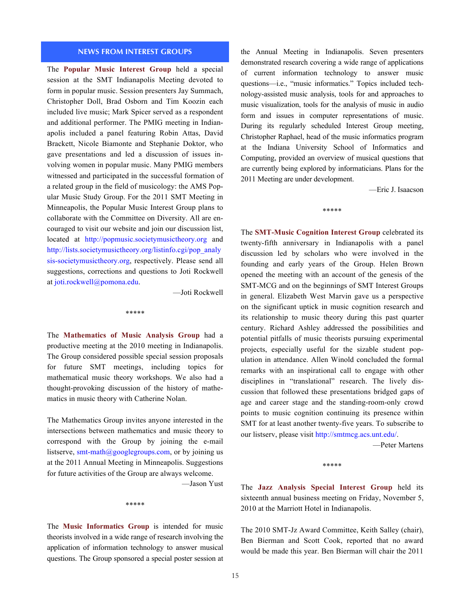#### **NEWS FROM INTEREST GROUPS**

<span id="page-14-0"></span>The **Popular Music Interest Group** held a special session at the SMT Indianapolis Meeting devoted to form in popular music. Session presenters Jay Summach, Christopher Doll, Brad Osborn and Tim Koozin each included live music; Mark Spicer served as a respondent and additional performer. The PMIG meeting in Indianapolis included a panel featuring Robin Attas, David Brackett, Nicole Biamonte and Stephanie Doktor, who gave presentations and led a discussion of issues involving women in popular music. Many PMIG members witnessed and participated in the successful formation of a related group in the field of musicology: the AMS Popular Music Study Group. For the 2011 SMT Meeting in Minneapolis, the Popular Music Interest Group plans to collaborate with the Committee on Diversity. All are encouraged to visit our website and join our discussion list, located at <http://popmusic.societymusictheory.org> and [http://lists.societymusictheory.org/listinfo.cgi/pop\\_analy](http://lists.societymusictheory.org/listinfo.cgi/pop_analysis-societymusictheory.org) [sis-societymusictheory.org,](http://lists.societymusictheory.org/listinfo.cgi/pop_analysis-societymusictheory.org) respectively. Please send all suggestions, corrections and questions to Joti Rockwell at [joti.rockwell@pomona.edu](mailto:joti.rockwell@pomona.edu).

—Joti Rockwell

The **Mathematics of Music Analysis Group** had a productive meeting at the 2010 meeting in Indianapolis. The Group considered possible special session proposals for future SMT meetings, including topics for mathematical music theory workshops. We also had a thought-provoking discussion of the history of mathematics in music theory with Catherine Nolan.

\*\*\*\*\*

The Mathematics Group invites anyone interested in the intersections between mathematics and music theory to correspond with the Group by joining the e-mail listserve,  $smt-math@googlegroups.com$ , or by joining us at the 2011 Annual Meeting in Minneapolis. Suggestions for future activities of the Group are always welcome.

—Jason Yust

\*\*\*\*\*

The **Music Informatics Group** is intended for music theorists involved in a wide range of research involving the application of information technology to answer musical questions. The Group sponsored a special poster session at the Annual Meeting in Indianapolis. Seven presenters demonstrated research covering a wide range of applications of current information technology to answer music questions—i.e., "music informatics." Topics included technology-assisted music analysis, tools for and approaches to music visualization, tools for the analysis of music in audio form and issues in computer representations of music. During its regularly scheduled Interest Group meeting, Christopher Raphael, head of the music informatics program at the Indiana University School of Informatics and Computing, provided an overview of musical questions that are currently being explored by informaticians. Plans for the 2011 Meeting are under development.

—Eric J. Isaacson

\*\*\*\*\*

The **SMT-Music Cognition Interest Group** celebrated its twenty-fifth anniversary in Indianapolis with a panel discussion led by scholars who were involved in the founding and early years of the Group. Helen Brown opened the meeting with an account of the genesis of the SMT-MCG and on the beginnings of SMT Interest Groups in general. Elizabeth West Marvin gave us a perspective on the significant uptick in music cognition research and its relationship to music theory during this past quarter century. Richard Ashley addressed the possibilities and potential pitfalls of music theorists pursuing experimental projects, especially useful for the sizable student population in attendance. Allen Winold concluded the formal remarks with an inspirational call to engage with other disciplines in "translational" research. The lively discussion that followed these presentations bridged gaps of age and career stage and the standing-room-only crowd points to music cognition continuing its presence within SMT for at least another twenty-five years. To subscribe to our listserv, please visit [http://smtmcg.acs.unt.edu/.](http://smtmcg.acs.unt.edu/)

—Peter Martens

\*\*\*\*\*

The **Jazz Analysis Special Interest Group** held its sixteenth annual business meeting on Friday, November 5, 2010 at the Marriott Hotel in Indianapolis.

The 2010 SMT-Jz Award Committee, Keith Salley (chair), Ben Bierman and Scott Cook, reported that no award would be made this year. Ben Bierman will chair the 2011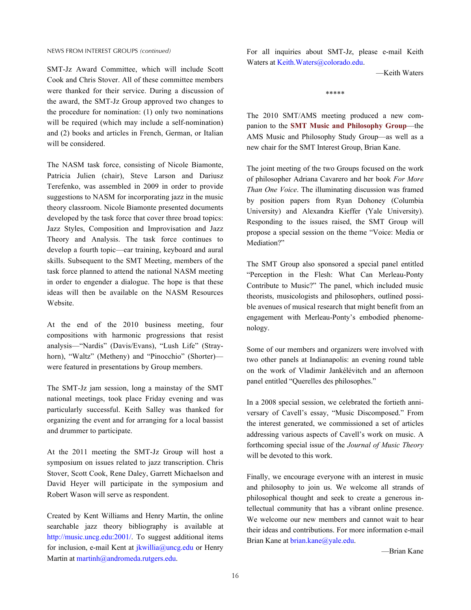SMT-Jz Award Committee, which will include Scott Cook and Chris Stover. All of these committee members were thanked for their service. During a discussion of the award, the SMT-Jz Group approved two changes to the procedure for nomination: (1) only two nominations will be required (which may include a self-nomination) and (2) books and articles in French, German, or Italian will be considered.

The NASM task force, consisting of Nicole Biamonte, Patricia Julien (chair), Steve Larson and Dariusz Terefenko, was assembled in 2009 in order to provide suggestions to NASM for incorporating jazz in the music theory classroom. Nicole Biamonte presented documents developed by the task force that cover three broad topics: Jazz Styles, Composition and Improvisation and Jazz Theory and Analysis. The task force continues to develop a fourth topic—ear training, keyboard and aural skills. Subsequent to the SMT Meeting, members of the task force planned to attend the national NASM meeting in order to engender a dialogue. The hope is that these ideas will then be available on the NASM Resources Website.

At the end of the 2010 business meeting, four compositions with harmonic progressions that resist analysis—"Nardis" (Davis/Evans), "Lush Life" (Strayhorn), "Waltz" (Metheny) and "Pinocchio" (Shorter) were featured in presentations by Group members.

The SMT-Jz jam session, long a mainstay of the SMT national meetings, took place Friday evening and was particularly successful. Keith Salley was thanked for organizing the event and for arranging for a local bassist and drummer to participate.

At the 2011 meeting the SMT-Jz Group will host a symposium on issues related to jazz transcription. Chris Stover, Scott Cook, Rene Daley, Garrett Michaelson and David Heyer will participate in the symposium and Robert Wason will serve as respondent.

Created by Kent Williams and Henry Martin, the online searchable jazz theory bibliography is available at [http://music.uncg.edu:2001/.](http://music.uncg.edu:2001/) To suggest additional items for inclusion, e-mail Kent at  $ikwillia@uneg.edu$  or Henry Martin at [martinh@andromeda.rutgers.edu.](mailto:martinh@andromeda.rutgers.edu?subject=Jazz%20Theory%20Bibliography)

For all inquiries about SMT-Jz, please e-mail Keith Waters at [Keith.Waters@colorado.edu](mailto:Keith.Waters@colorado.edu).

—Keith Waters

\*\*\*\*\*

The 2010 SMT/AMS meeting produced a new companion to the **SMT Music and Philosophy Group**—the AMS Music and Philosophy Study Group—as well as a new chair for the SMT Interest Group, Brian Kane.

The joint meeting of the two Groups focused on the work of philosopher Adriana Cavarero and her book *For More Than One Voice*. The illuminating discussion was framed by position papers from Ryan Dohoney (Columbia University) and Alexandra Kieffer (Yale University). Responding to the issues raised, the SMT Group will propose a special session on the theme "Voice: Media or Mediation?"

The SMT Group also sponsored a special panel entitled "Perception in the Flesh: What Can Merleau-Ponty Contribute to Music?" The panel, which included music theorists, musicologists and philosophers, outlined possible avenues of musical research that might benefit from an engagement with Merleau-Ponty's embodied phenomenology.

Some of our members and organizers were involved with two other panels at Indianapolis: an evening round table on the work of Vladimir Jankélévitch and an afternoon panel entitled "Querelles des philosophes."

In a 2008 special session, we celebrated the fortieth anniversary of Cavell's essay, "Music Discomposed." From the interest generated, we commissioned a set of articles addressing various aspects of Cavell's work on music. A forthcoming special issue of the *Journal of Music Theory*  will be devoted to this work.

Finally, we encourage everyone with an interest in music and philosophy to join us. We welcome all strands of philosophical thought and seek to create a generous intellectual community that has a vibrant online presence. We welcome our new members and cannot wait to hear their ideas and contributions. For more information e-mail Brian Kane at [brian.kane@yale.edu](mailto:brian.kane@yale.edu?subject=Music%20and%20Philosophy%20Group).

—Brian Kane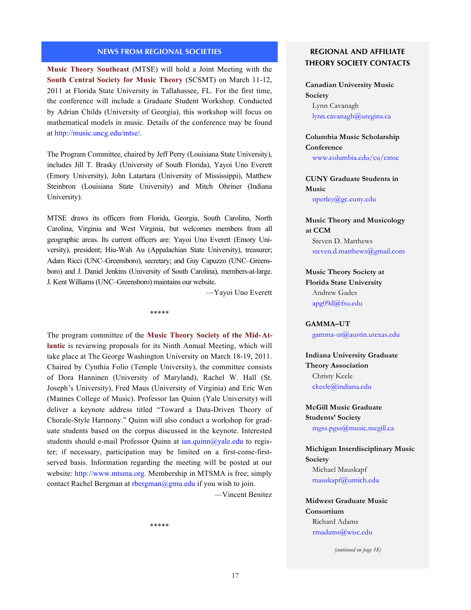## **NEWS FROM REGIONAL SOCIETIES**

<span id="page-16-0"></span>**Music Theory Southeast** (MTSE) will hold a Joint Meeting with the **South Central Society for Music Theory** (SCSMT) on March 11-12, 2011 at Florida State University in Tallahassee, FL. For the first time, the conference will include a Graduate Student Workshop. Conducted by Adrian Childs (University of Georgia), this workshop will focus on mathematical models in music. Details of the conference may be found at <http://music.uncg.edu/mtse/>.

The Program Committee, chaired by Jeff Perry (Louisiana State University), includes Jill T. Brasky (University of South Florida), Yayoi Uno Everett (Emory University), John Latartara (University of Mississippi), Matthew Steinbron (Louisiana State University) and Mitch Ohriner (Indiana University).

MTSE draws its officers from Florida, Georgia, South Carolina, North Carolina, Virginia and West Virginia, but welcomes members from all geographic areas. Its current officers are: Yayoi Uno Everett (Emory University), president; Hiu-Wah Au (Appalachian State University), treasurer; Adam Ricci (UNC–Greensboro), secretary; and Guy Capuzzo (UNC–Greensboro) and J. Daniel Jenkins (University of South Carolina), members-at-large. J. Kent Williams (UNC–Greensboro) maintains our website.

\*\*\*\*\*

—Yayoi Uno Everett

The program committee of the **Music Theory Society of the Mid-Atlantic** is reviewing proposals for its Ninth Annual Meeting, which will take place at The George Washington University on March 18-19, 2011. Chaired by Cynthia Folio (Temple University), the committee consists of Dora Hanninen (University of Maryland), Rachel W. Hall (St. Joseph's University), Fred Maus (University of Virginia) and Eric Wen (Mannes College of Music). Professor Ian Quinn (Yale University) will deliver a keynote address titled "Toward a Data-Driven Theory of Chorale-Style Harmony." Quinn will also conduct a workshop for graduate students based on the corpus discussed in the keynote. Interested students should e-mail Professor Quinn at  $ian.quinn@yale.edu$  to register; if necessary, participation may be limited on a first-come-firstserved basis. Information regarding the meeting will be posted at our website: [http://www.mtsma.org.](http://www.mtsma.org) Membership in MTSMA is free; simply contact Rachel Bergman at [rbergman@gmu.edu](mailto:rbergman@gmu.edu?subject=MTSMA%20membership) if you wish to join. —Vincent Benitez

\*\*\*\*\*

## **REGIONAL AND AFFILIATE THEORY SOCIETY CONTACTS**

**Canadian University Music Society** Lynn Cavanagh [lynn.cavanagh](mailto:lynn.cavanagh@uregina.ca)@uregina.ca

**Columbia Music Scholarship Conference**

<www.columbia.edu/cu/cmsc>

**CUNY Graduate Students in Music** [nperley@gc.cuny.edu](mailto:nperley.gc.cuny.edu)

**Music Theory and Musicology at CCM** Steven D. Matthews [steven.d.matthews@gmail.com](mailto:steven.d.matthews@gmail.com)

**[Music Theory Society at](#page-19-0)  Florida State University** Andrew Gades [apg09d@fsu.edu](mailto:apg09d@fsu.edu)

**[GAMMA–UT](#page-19-0)**

[gamma-ut@austin.utexas.edu](mailto:gamma-ut@austin.utexas.edu)

**Indiana University Graduate Theory Association** Christy Keele [ckeele@indiana.edu](mailto:ckeele@indiana.edu)

**McGill Music Graduate Students' Society** [mgss.pgss@music.mcgill.ca](mailto:mgss.pgss@music.mcgill.ca)

**Michigan Interdisciplinary Music Society**  Michael Mauskapf [mauskapf@umich.edu](mailto:mauskapf@umich.edu)

**Midwest Graduate Music Consortium** Richard Adams [rmadams@wisc.edu](mailto:rmadams@wisc.edu)

*(continued on page 18)*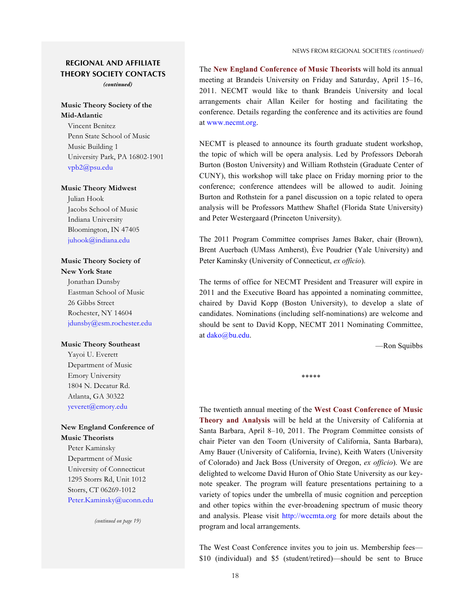## <span id="page-17-0"></span>**REGIONAL AND AFFILIATE THEORY SOCIETY CONTACTS**

*(continued)*

## **[Music Theory Society of the](#page-16-0)  Mid-Atlantic**

Vincent Benitez Penn State School of Music Music Building 1 University Park, PA 16802-1901 [vpb2@psu.edu](mailto:vpb2@psu.edu)

#### **[Music Theory Midwest](#page-18-0)**

Julian Hook Jacobs School of Music Indiana University Bloomington, IN 47405 [juhook@indiana.edu](mailto:juhook@indiana.edu)

## **Music Theory Society of New York State**

Jonathan Dunsby Eastman School of Music 26 Gibbs Street Rochester, NY 14604 [jdunsby@esm.rochester.edu](mailto:jdunsby@esm.rochester.edu)

#### **[Music Theory Southeast](#page-16-0)**

Yayoi U. Everett Department of Music Emory University 1804 N. Decatur Rd. Atlanta, GA 30322 [yeveret@emory.edu](mailto:yeveret@emory.edu)

#### **New England Conference of Music Theorists**

Peter Kaminsky Department of Music University of Connecticut 1295 Storrs Rd, Unit 1012 Storrs, CT 06269-1012 [Peter.Kaminsky@uconn.edu](mailto:Peter.Kaminsky@uconn.edu)

*(continued on page 19)*

The **New England Conference of Music Theorists** will hold its annual meeting at Brandeis University on Friday and Saturday, April 15–16, 2011. NECMT would like to thank Brandeis University and local arrangements chair Allan Keiler for hosting and facilitating the conference. Details regarding the conference and its activities are found at [www.necmt.org](http://www.necmt.org/).

NECMT is pleased to announce its fourth graduate student workshop, the topic of which will be opera analysis. Led by Professors Deborah Burton (Boston University) and William Rothstein (Graduate Center of CUNY), this workshop will take place on Friday morning prior to the conference; conference attendees will be allowed to audit. Joining Burton and Rothstein for a panel discussion on a topic related to opera analysis will be Professors Matthew Shaftel (Florida State University) and Peter Westergaard (Princeton University).

The 2011 Program Committee comprises James Baker, chair (Brown), Brent Auerbach (UMass Amherst), Ève Poudrier (Yale University) and Peter Kaminsky (University of Connecticut, *ex officio*).

The terms of office for NECMT President and Treasurer will expire in 2011 and the Executive Board has appointed a nominating committee, chaired by David Kopp (Boston University), to develop a slate of candidates. Nominations (including self-nominations) are welcome and should be sent to David Kopp, NECMT 2011 Nominating Committee, at [dako@bu.edu](mailto:dako@bu.edu?subject=Nominations%20NECMT).

\*\*\*\*\*

—Ron Squibbs

The twentieth annual meeting of the **West Coast Conference of Music Theory and Analysis** will be held at the University of California at Santa Barbara, April 8–10, 2011. The Program Committee consists of chair Pieter van den Toorn (University of California, Santa Barbara), Amy Bauer (University of California, Irvine), Keith Waters (University of Colorado) and Jack Boss (University of Oregon, *ex officio*). We are delighted to welcome David Huron of Ohio State University as our keynote speaker. The program will feature presentations pertaining to a variety of topics under the umbrella of music cognition and perception and other topics within the ever-broadening spectrum of music theory and analysis. Please visit <http://wccmta.org> for more details about the program and local arrangements.

The West Coast Conference invites you to join us. Membership fees— \$10 (individual) and \$5 (student/retired)—should be sent to Bruce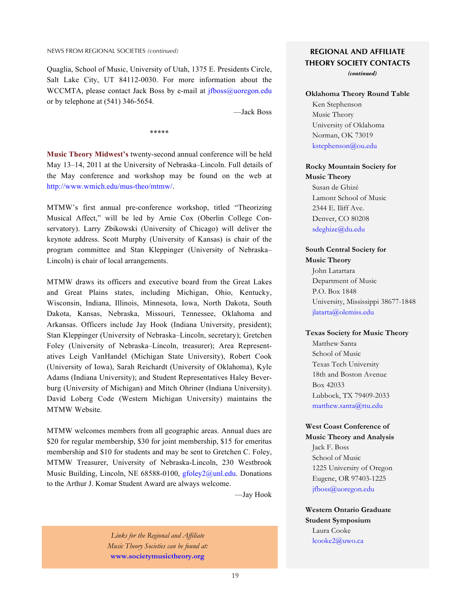#### <span id="page-18-0"></span>NEWS FROM REGIONAL SOCIETIES *(continued)*

Quaglia, School of Music, University of Utah, 1375 E. Presidents Circle, Salt Lake City, UT 84112-0030. For more information about the WCCMTA, please contact Jack Boss by e-mail at *ifboss@uoregon.edu* or by telephone at (541) 346-5654.

—Jack Boss

**Music Theory Midwest's** twenty-second annual conference will be held May 13–14, 2011 at the University of Nebraska–Lincoln. Full details of the May conference and workshop may be found on the web at <http://www.wmich.edu/mus-theo/mtmw/>.

\*\*\*\*\*

MTMW's first annual pre-conference workshop, titled "Theorizing Musical Affect," will be led by Arnie Cox (Oberlin College Conservatory). Larry Zbikowski (University of Chicago) will deliver the keynote address. Scott Murphy (University of Kansas) is chair of the program committee and Stan Kleppinger (University of Nebraska– Lincoln) is chair of local arrangements.

MTMW draws its officers and executive board from the Great Lakes and Great Plains states, including Michigan, Ohio, Kentucky, Wisconsin, Indiana, Illinois, Minnesota, Iowa, North Dakota, South Dakota, Kansas, Nebraska, Missouri, Tennessee, Oklahoma and Arkansas. Officers include Jay Hook (Indiana University, president); Stan Kleppinger (University of Nebraska–Lincoln, secretary); Gretchen Foley (University of Nebraska–Lincoln, treasurer); Area Representatives Leigh VanHandel (Michigan State University), Robert Cook (University of Iowa), Sarah Reichardt (University of Oklahoma), Kyle Adams (Indiana University); and Student Representatives Haley Beverburg (University of Michigan) and Mitch Ohriner (Indiana University). David Loberg Code (Western Michigan University) maintains the MTMW Website.

MTMW welcomes members from all geographic areas. Annual dues are \$20 for regular membership, \$30 for joint membership, \$15 for emeritus membership and \$10 for students and may be sent to Gretchen C. Foley, MTMW Treasurer, University of Nebraska-Lincoln, 230 Westbrook Music Building, Lincoln, NE 68588-0100, [gfoley2@unl.edu.](mailto:gfoley2@unl.edu?subject=MTMW) Donations to the Arthur J. Komar Student Award are always welcome.

—Jay Hook

Links for the Regional and Affiliate **Links for the Regional and Affiliate Legional and Affiliate** *Music Theory Societies can be found at:* **[www.societymusictheory.org](http://www.societymusictheory.org)**

# **REGIONAL AND AFFILIATE THEORY SOCIETY CONTACTS**

*(continued)*

#### **[Oklahoma Theory Round Table](#page-19-0)**

Ken Stephenson Music Theory University of Oklahoma Norman, OK 73019 [kstephenson@ou.edu](mailto:kstephenson@ou.edu)

#### **Rocky Mountain Society for Music Theory**

Susan de Ghizé Lamont School of Music 2344 E. Iliff Ave. Denver, CO 80208 [sdeghize@du.edu](mailto:sdeghize@du.edu)

#### **[South Central Society for](#page-16-0) Music Theory**

John Latartara Department of Music P.O. Box 1848 University, Mississippi 38677-1848 [jlatarta@olemiss.edu](mailto:jlatarta@olemiss.edu)

#### **[Texas Society for Music Theory](#page-19-0)**

Matthew Santa School of Music Texas Tech University 18th and Boston Avenue Box 42033 Lubbock, TX 79409-2033 [matthew.santa@ttu.edu](mailto:matthew.santa@ttu.edu)

## **West Coast Conference of [Music Theory and Analysis](#page-17-0)**

Jack F. Boss School of Music 1225 University of Oregon Eugene, OR 97403-1225 [jfboss@uoregon.edu](mailto:jfboss@uoregon.edu)

**Western Ontario Graduate Student Symposium** Laura Cooke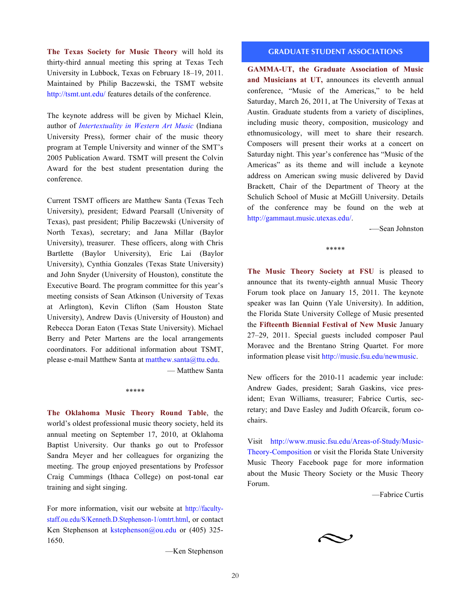<span id="page-19-0"></span>**The Texas Society for Music Theory** will hold its thirty-third annual meeting this spring at Texas Tech University in Lubbock, Texas on February 18–19, 2011. Maintained by Philip Baczewski, the TSMT website <http://tsmt.unt.edu/> features details of the conference.

The keynote address will be given by Michael Klein, author of *[Intertextuality in Western Art Music](http://www.iupress.indiana.edu/catalog/product_info.php?products_id=21727)* (Indiana University Press), former chair of the music theory program at Temple University and winner of the SMT's 2005 Publication Award. TSMT will present the Colvin Award for the best student presentation during the conference.

Current TSMT officers are Matthew Santa (Texas Tech University), president; Edward Pearsall (University of Texas), past president; Philip Baczewski (University of North Texas), secretary; and Jana Millar (Baylor University), treasurer. These officers, along with Chris Bartlette (Baylor University), Eric Lai (Baylor University), Cynthia Gonzales (Texas State University) and John Snyder (University of Houston), constitute the Executive Board. The program committee for this year's meeting consists of Sean Atkinson (University of Texas at Arlington), Kevin Clifton (Sam Houston State University), Andrew Davis (University of Houston) and Rebecca Doran Eaton (Texas State University). Michael Berry and Peter Martens are the local arrangements coordinators. For additional information about TSMT, please e-mail Matthew Santa at [matthew.santa@ttu.edu](mailto:matthew.santa@ttu.edu).

— Matthew Santa

#### \*\*\*\*\*

**The Oklahoma Music Theory Round Table**, the world's oldest professional music theory society, held its annual meeting on September 17, 2010, at Oklahoma Baptist University. Our thanks go out to Professor Sandra Meyer and her colleagues for organizing the meeting. The group enjoyed presentations by Professor Craig Cummings (Ithaca College) on post-tonal ear training and sight singing.

For more information, visit our website at [http://faculty](http://faculty-staff.ou.edu/S/Kenneth.D.Stephenson-1/omtrt.html)[staff.ou.edu/S/Kenneth.D.Stephenson-1/omtrt.html,](http://faculty-staff.ou.edu/S/Kenneth.D.Stephenson-1/omtrt.html) or contact Ken Stephenson at [kstephenson@ou.edu](mailto:kstephenson@ou.edu?subject=OMTRT) or (405) 325- 1650.

—Ken Stephenson

#### **GRADUATE STUDENT ASSOCIATIONS**

**GAMMA-UT, the Graduate Association of Music and Musicians at UT,** announces its eleventh annual conference, "Music of the Americas," to be held Saturday, March 26, 2011, at The University of Texas at Austin. Graduate students from a variety of disciplines, including music theory, composition, musicology and ethnomusicology, will meet to share their research. Composers will present their works at a concert on Saturday night. This year's conference has "Music of the Americas" as its theme and will include a keynote address on American swing music delivered by David Brackett, Chair of the Department of Theory at the Schulich School of Music at McGill University. Details of the conference may be found on the web at [http://gammaut.music.utexas.edu/.](http://gammaut.music.utexas.edu/)

-—Sean Johnston

\*\*\*\*\*

**The Music Theory Society at FSU** is pleased to announce that its twenty-eighth annual Music Theory Forum took place on January 15, 2011. The keynote speaker was Ian Quinn (Yale University). In addition, the Florida State University College of Music presented the **Fifteenth Biennial Festival of New Music** January 27–29, 2011. Special guests included composer Paul Moravec and the Brentano String Quartet. For more information please visit <http://music.fsu.edu/newmusic>.

New officers for the 2010-11 academic year include: Andrew Gades, president; Sarah Gaskins, vice president; Evan Williams, treasurer; Fabrice Curtis, secretary; and Dave Easley and Judith Ofcarcik, forum cochairs.

Visit [http://www.music.fsu.edu/Areas-of-Study/Music-](http://www.music.fsu.edu/Areas-of-Study/Music-Theory-Composition)[Theory-Composition](http://www.music.fsu.edu/Areas-of-Study/Music-Theory-Composition) or visit the Florida State University Music Theory Facebook page for more information about the Music Theory Society or the Music Theory Forum.

—Fabrice Curtis

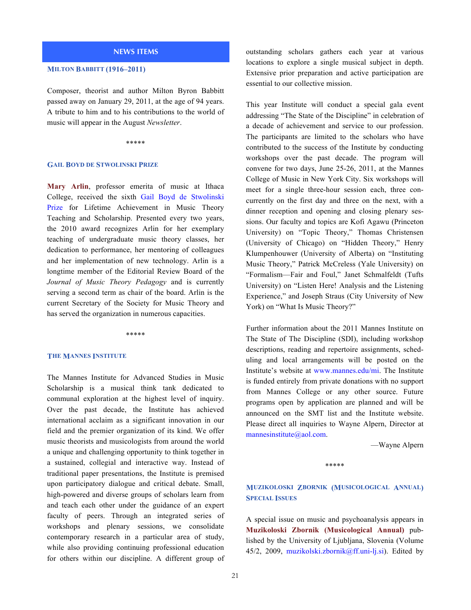#### **NEWS ITEMS**

#### <span id="page-20-0"></span>**MILTON BABBITT (1916–2011)**

Composer, theorist and author Milton Byron Babbitt passed away on January 29, 2011, at the age of 94 years. A tribute to him and to his contributions to the world of music will appear in the August *Newsletter*.

#### \*\*\*\*\*

#### **GAIL BOYD DE STWOLINSKI PRIZE**

**Mary Arlin**, professor emerita of music at Ithaca College, received the sixth [Gail Boyd de Stwolinski](http://jmtp.ou.edu/pastwinners/arlin.html) [Prize](http://jmtp.ou.edu/pastwinners/arlin.html) for Lifetime Achievement in Music Theory Teaching and Scholarship. Presented every two years, the 2010 award recognizes Arlin for her exemplary teaching of undergraduate music theory classes, her dedication to performance, her mentoring of colleagues and her implementation of new technology. Arlin is a longtime member of the Editorial Review Board of the *Journal of Music Theory Pedagogy* and is currently serving a second term as chair of the board. Arlin is the current Secretary of the Society for Music Theory and has served the organization in numerous capacities.

#### \*\*\*\*\*

#### **THE MANNES INSTITUTE**

The Mannes Institute for Advanced Studies in Music Scholarship is a musical think tank dedicated to communal exploration at the highest level of inquiry. Over the past decade, the Institute has achieved international acclaim as a significant innovation in our field and the premier organization of its kind. We offer music theorists and musicologists from around the world a unique and challenging opportunity to think together in a sustained, collegial and interactive way. Instead of traditional paper presentations, the Institute is premised upon participatory dialogue and critical debate. Small, high-powered and diverse groups of scholars learn from and teach each other under the guidance of an expert faculty of peers. Through an integrated series of workshops and plenary sessions, we consolidate contemporary research in a particular area of study, while also providing continuing professional education for others within our discipline. A different group of outstanding scholars gathers each year at various locations to explore a single musical subject in depth. Extensive prior preparation and active participation are essential to our collective mission.

This year Institute will conduct a special gala event addressing "The State of the Discipline" in celebration of a decade of achievement and service to our profession. The participants are limited to the scholars who have contributed to the success of the Institute by conducting workshops over the past decade. The program will convene for two days, June 25-26, 2011, at the Mannes College of Music in New York City. Six workshops will meet for a single three-hour session each, three concurrently on the first day and three on the next, with a dinner reception and opening and closing plenary sessions. Our faculty and topics are Kofi Agawu (Princeton University) on "Topic Theory," Thomas Christensen (University of Chicago) on "Hidden Theory," Henry Klumpenhouwer (University of Alberta) on "Instituting Music Theory," Patrick McCreless (Yale University) on "Formalism—Fair and Foul," Janet Schmalfeldt (Tufts University) on "Listen Here! Analysis and the Listening Experience," and Joseph Straus (City University of New York) on "What Is Music Theory?"

Further information about the 2011 Mannes Institute on The State of The Discipline (SDI), including workshop descriptions, reading and repertoire assignments, scheduling and local arrangements will be posted on the Institute's website at <www.mannes.edu/mi>. The Institute is funded entirely from private donations with no support from Mannes College or any other source. Future programs open by application are planned and will be announced on the SMT list and the Institute website. Please direct all inquiries to Wayne Alpern, Director at [mannesinstitute@aol.com.](mailto:mannesinstitute@aol.com)

—Wayne Alpern

#### \*\*\*\*\*

## **MUZIKOLOSKI ZBORNIK (MUSICOLOGICAL ANNUAL) SPECIAL ISSUES**

A special issue on music and psychoanalysis appears in **Muzikoloski Zbornik (Musicological Annual)** published by the University of Ljubljana, Slovenia (Volume 45/2, 2009, [muzikolski.zbornik@ff.uni-lj.si](mailto:muzikolski.zbornik@ff.uni-lj.si?subject=Vol.%2045-2)). Edited by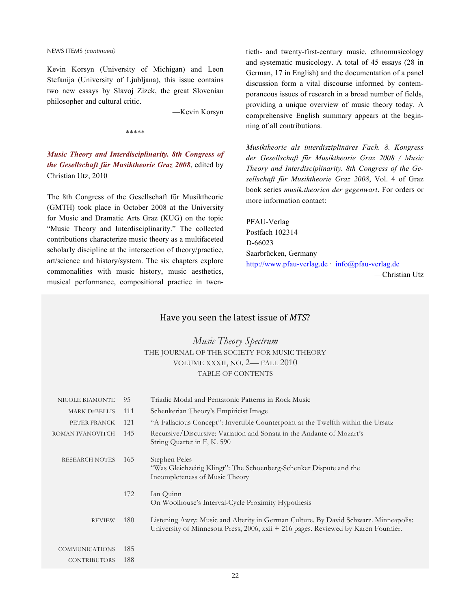NEWS ITEMS *(continued)*

Kevin Korsyn (University of Michigan) and Leon Stefanija (University of Ljubljana), this issue contains two new essays by Slavoj Zizek, the great Slovenian philosopher and cultural critic.

—Kevin Korsyn

\*\*\*\*\*

*Music Theory and Interdisciplinarity. 8th Congress of the Gesellschaft für Musiktheorie Graz 2008*, edited by Christian Utz, 2010

The 8th Congress of the Gesellschaft für Musiktheorie (GMTH) took place in October 2008 at the University for Music and Dramatic Arts Graz (KUG) on the topic "Music Theory and Interdisciplinarity." The collected contributions characterize music theory as a multifaceted scholarly discipline at the intersection of theory/practice, art/science and history/system. The six chapters explore commonalities with music history, music aesthetics, musical performance, compositional practice in twentieth- and twenty-first-century music, ethnomusicology and systematic musicology. A total of 45 essays (28 in German, 17 in English) and the documentation of a panel discussion form a vital discourse informed by contemporaneous issues of research in a broad number of fields, providing a unique overview of music theory today. A comprehensive English summary appears at the beginning of all contributions.

*Musiktheorie als interdisziplinäres Fach. 8. Kongress der Gesellschaft für Musiktheorie Graz 2008 / Music Theory and Interdisciplinarity. 8th Congress of the Gesellschaft für Musiktheorie Graz 2008*, Vol. 4 of Graz book series *musik.theorien der gegenwart*. For orders or more information contact:

PFAU-Verlag Postfach 102314 D-66023 Saarbrücken, Germany <http://www.pfau-verlag.de> · [info@pfau-verlag.de](mailto:info@pfau-verlag.de) —Christian Utz

| Have you seen the latest issue of MTS? |  |
|----------------------------------------|--|
|----------------------------------------|--|

*Music Theory Spectrum* THE JOURNAL OF THE SOCIETY FOR MUSIC THEORY VOLUME XXXII, NO. 2— FALL 2010 TABLE OF CONTENTS

| NICOLE BIAMONTE       | 95  | Triadic Modal and Pentatonic Patterns in Rock Music                                                                                                                        |
|-----------------------|-----|----------------------------------------------------------------------------------------------------------------------------------------------------------------------------|
| <b>MARK DEBELLIS</b>  | 111 | Schenkerian Theory's Empiricist Image                                                                                                                                      |
| PETER FRANCK          | 121 | "A Fallacious Concept": Invertible Counterpoint at the Twelfth within the Ursatz                                                                                           |
| ROMAN IVANOVITCH      | 145 | Recursive/Discursive: Variation and Sonata in the Andante of Mozart's<br>String Quartet in F, K. 590                                                                       |
| <b>RESEARCH NOTES</b> | 165 | Stephen Peles<br>"Was Gleichzeitig Klingt": The Schoenberg-Schenker Dispute and the<br>Incompleteness of Music Theory                                                      |
|                       | 172 | Ian Quinn<br>On Woolhouse's Interval-Cycle Proximity Hypothesis                                                                                                            |
| <b>REVIEW</b>         | 180 | Listening Awry: Music and Alterity in German Culture. By David Schwarz. Minneapolis:<br>University of Minnesota Press, 2006, xxii + 216 pages. Reviewed by Karen Fournier. |
| <b>COMMUNICATIONS</b> | 185 |                                                                                                                                                                            |
| <b>CONTRIBUTORS</b>   | 188 |                                                                                                                                                                            |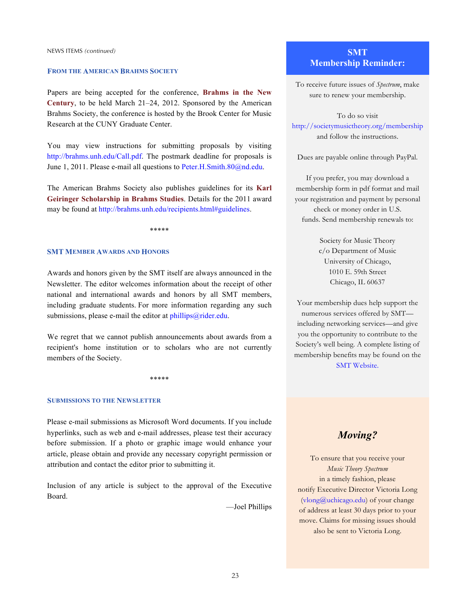NEWS ITEMS *(continued)*

#### **FROM THE AMERICAN BRAHMS SOCIETY**

Papers are being accepted for the conference, **Brahms in the New Century**, to be held March 21–24, 2012. Sponsored by the American Brahms Society, the conference is hosted by the Brook Center for Music Research at the CUNY Graduate Center.

You may view instructions for submitting proposals by visiting <http://brahms.unh.edu/Call.pdf>. The postmark deadline for proposals is June 1, 2011. Please e-mail all questions to [Peter.H.Smith.80@nd.edu](mailto:Peter.H.Smith.80@nd.edu).

The American Brahms Society also publishes guidelines for its **Karl Geiringer Scholarship in Brahms Studies**. Details for the 2011 award may be found at [http://brahms.unh.edu/recipients.html#guidelines.](http://brahms.unh.edu/recipients.html#guidelines)

\*\*\*\*\*

#### **SMT MEMBER AWARDS AND HONORS**

Awards and honors given by the SMT itself are always announced in the Newsletter. The editor welcomes information about the receipt of other national and international awards and honors by all SMT members, including graduate students. For more information regarding any such submissions, please e-mail the editor at  $phillips@rideredu.$ 

We regret that we cannot publish announcements about awards from a recipient's home institution or to scholars who are not currently members of the Society.

\*\*\*\*\*

#### **SUBMISSIONS TO THE NEWSLETTER**

Please e-mail submissions as Microsoft Word documents. If you include hyperlinks, such as web and e-mail addresses, please test their accuracy before submission. If a photo or graphic image would enhance your article, please obtain and provide any necessary copyright permission or attribution and contact the editor prior to submitting it.

Inclusion of any article is subject to the approval of the Executive Board.

—Joel Phillips

## **SMT Membership Reminder:**

To receive future issues of *Spectrum*, make sure to renew your membership.

To do so visit <http://societymusictheory.org/membership> and follow the instructions.

Dues are payable online through PayPal.

If you prefer, you may download a membership form in pdf format and mail your registration and payment by personal check or money order in U.S. funds. Send membership renewals to:

> Society for Music Theory c/o Department of Music University of Chicago, 1010 E. 59th Street Chicago, IL 60637

Your membership dues help support the numerous services offered by SMT including networking services—and give you the opportunity to contribute to the Society's well being. A complete listing of membership benefits may be found on the [SMT Website](http://societymusictheory.org).

# *Moving?*

To ensure that you receive your *Music Theory Spectrum* in a timely fashion, please notify Executive Director Victoria Long [\(vlong@uchicago.edu\)](mailto:vlong@uchicago.edu) of your change of address at least 30 days prior to your move. Claims for missing issues should also be sent to Victoria Long.